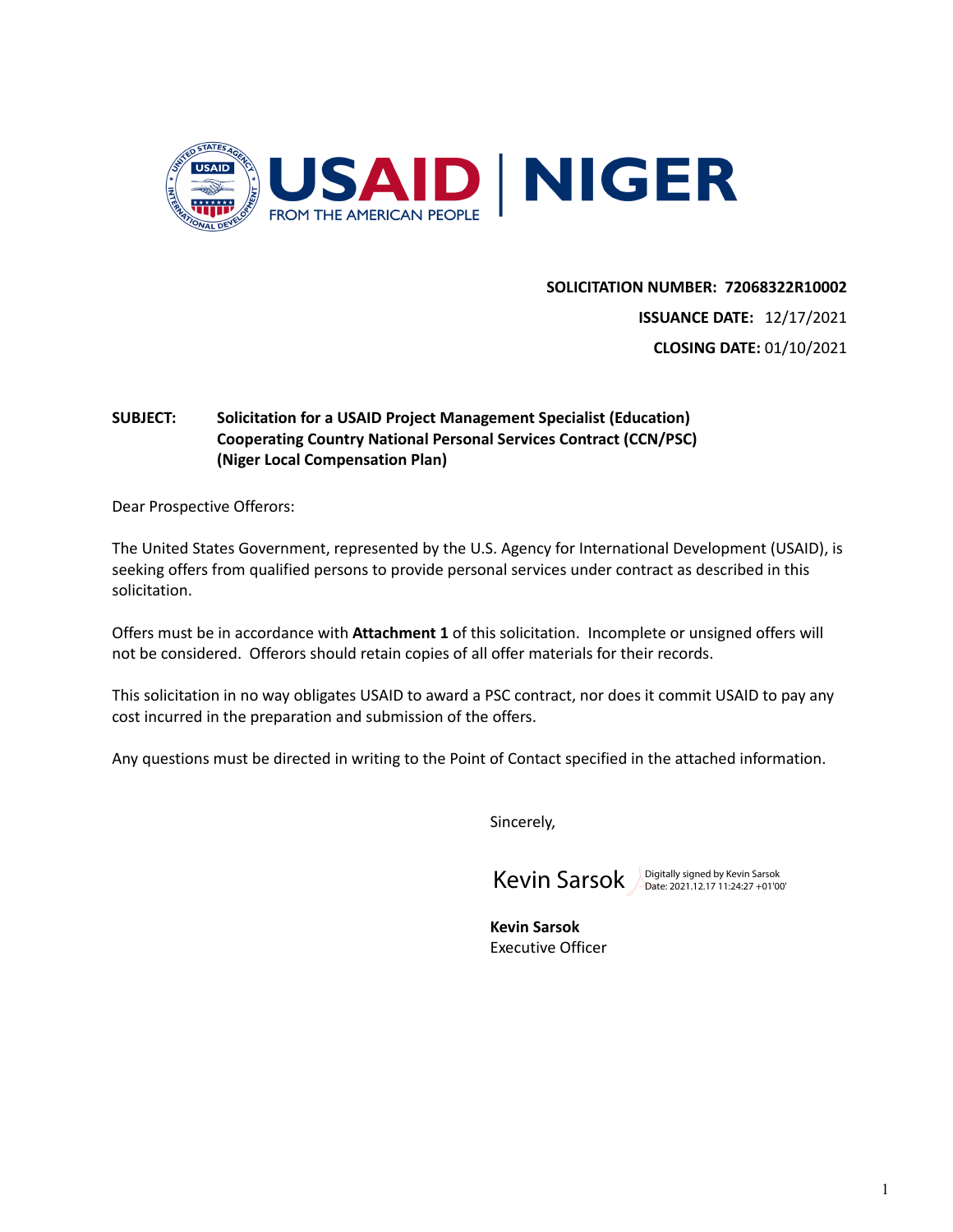

### **SOLICITATION NUMBER: 72068322R10002**

**ISSUANCE DATE:** 12/17/2021 **CLOSING DATE:** 01/10/2021

# **SUBJECT: Solicitation for a USAID Project Management Specialist (Education) Cooperating Country National Personal Services Contract (CCN/PSC) (Niger Local Compensation Plan)**

Dear Prospective Offerors:

The United States Government, represented by the U.S. Agency for International Development (USAID), is seeking offers from qualified persons to provide personal services under contract as described in this solicitation.

Offers must be in accordance with **Attachment 1** of this solicitation. Incomplete or unsigned offers will not be considered. Offerors should retain copies of all offer materials for their records.

This solicitation in no way obligates USAID to award a PSC contract, nor does it commit USAID to pay any cost incurred in the preparation and submission of the offers.

Any questions must be directed in writing to the Point of Contact specified in the attached information.

Sincerely,



**Kevin Sarsok** Executive Officer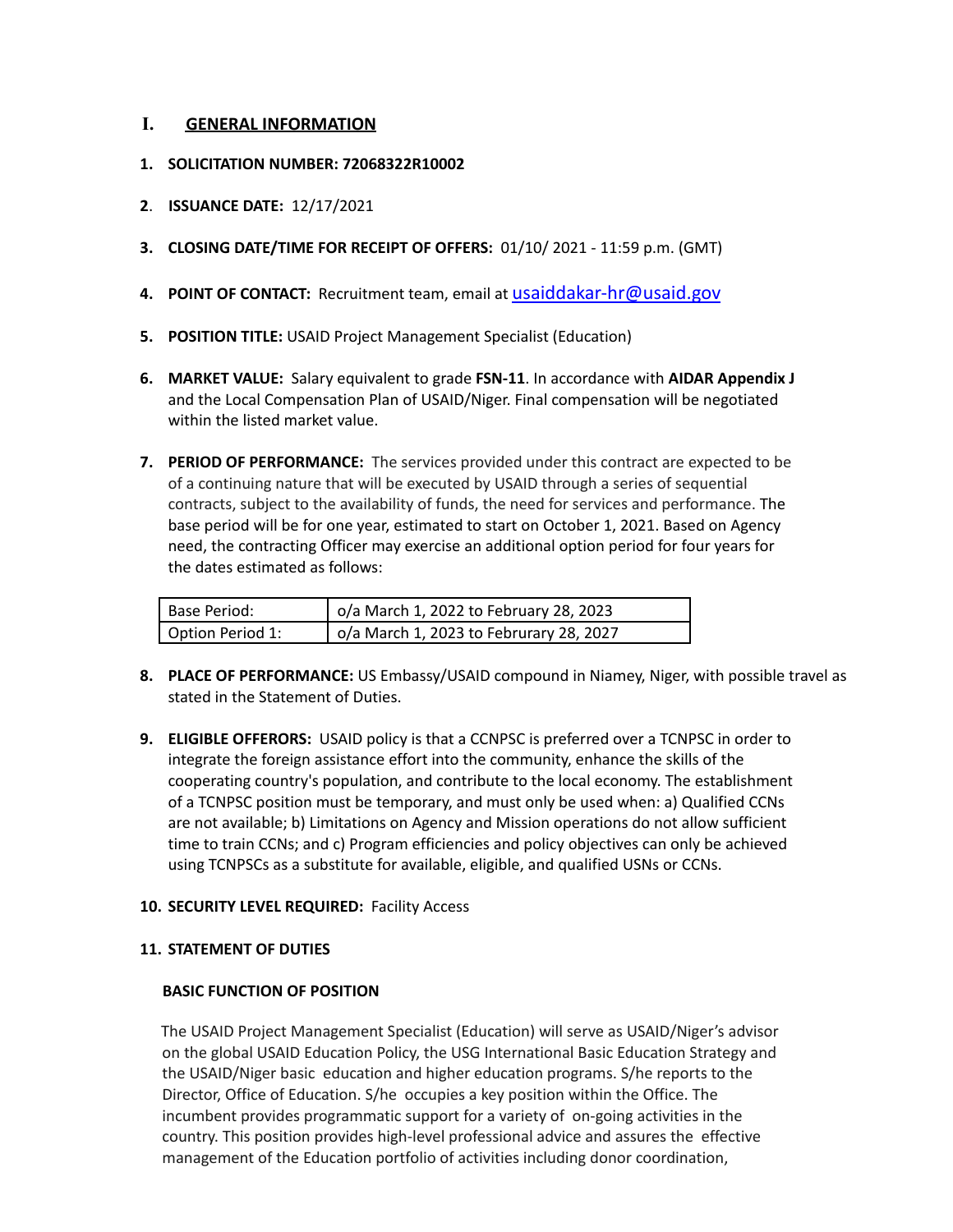# **I. GENERAL INFORMATION**

- **1. SOLICITATION NUMBER: 72068322R10002**
- **2**. **ISSUANCE DATE:** 12/17/2021
- **3. CLOSING DATE/TIME FOR RECEIPT OF OFFERS:** 01/10/ 2021 11:59 p.m. (GMT)
- **4. POINT OF CONTACT:** Recruitment team, email at [usaiddakar-hr@usaid.gov](mailto:usaiddakar-hr@usaid.gov)
- **5. POSITION TITLE:** USAID Project Management Specialist (Education)
- **6. MARKET VALUE:** Salary equivalent to grade **FSN-11**. In accordance with **AIDAR Appendix J** and the Local Compensation Plan of USAID/Niger. Final compensation will be negotiated within the listed market value.
- **7. PERIOD OF PERFORMANCE:** The services provided under this contract are expected to be of a continuing nature that will be executed by USAID through a series of sequential contracts, subject to the availability of funds, the need for services and performance. The base period will be for one year, estimated to start on October 1, 2021. Based on Agency need, the contracting Officer may exercise an additional option period for four years for the dates estimated as follows:

| Base Period:     | o/a March 1, 2022 to February 28, 2023  |
|------------------|-----------------------------------------|
| Option Period 1: | o/a March 1, 2023 to Februrary 28, 2027 |

- **8. PLACE OF PERFORMANCE:** US Embassy/USAID compound in Niamey, Niger, with possible travel as stated in the Statement of Duties.
- **9. ELIGIBLE OFFERORS:** USAID policy is that a CCNPSC is preferred over a TCNPSC in order to integrate the foreign assistance effort into the community, enhance the skills of the cooperating country's population, and contribute to the local economy. The establishment of a TCNPSC position must be temporary, and must only be used when: a) Qualified CCNs are not available; b) Limitations on Agency and Mission operations do not allow sufficient time to train CCNs; and c) Program efficiencies and policy objectives can only be achieved using TCNPSCs as a substitute for available, eligible, and qualified USNs or CCNs.

## **10. SECURITY LEVEL REQUIRED:** Facility Access

## **11. STATEMENT OF DUTIES**

## **BASIC FUNCTION OF POSITION**

The USAID Project Management Specialist (Education) will serve as USAID/Niger's advisor on the global USAID Education Policy, the USG International Basic Education Strategy and the USAID/Niger basic education and higher education programs. S/he reports to the Director, Office of Education. S/he occupies a key position within the Office. The incumbent provides programmatic support for a variety of on-going activities in the country. This position provides high-level professional advice and assures the effective management of the Education portfolio of activities including donor coordination,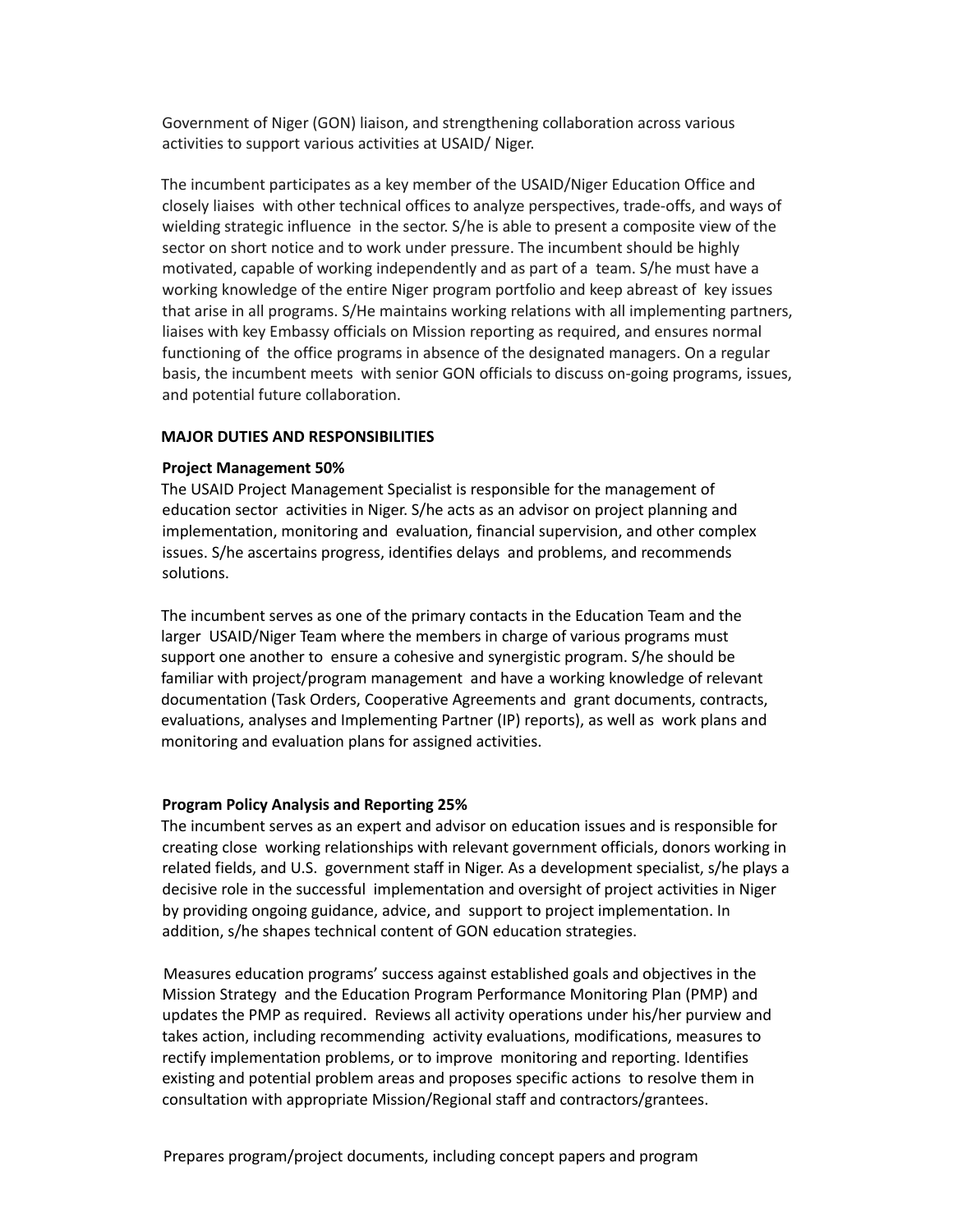Government of Niger (GON) liaison, and strengthening collaboration across various activities to support various activities at USAID/ Niger.

The incumbent participates as a key member of the USAID/Niger Education Office and closely liaises with other technical offices to analyze perspectives, trade-offs, and ways of wielding strategic influence in the sector. S/he is able to present a composite view of the sector on short notice and to work under pressure. The incumbent should be highly motivated, capable of working independently and as part of a team. S/he must have a working knowledge of the entire Niger program portfolio and keep abreast of key issues that arise in all programs. S/He maintains working relations with all implementing partners, liaises with key Embassy officials on Mission reporting as required, and ensures normal functioning of the office programs in absence of the designated managers. On a regular basis, the incumbent meets with senior GON officials to discuss on-going programs, issues, and potential future collaboration.

#### **MAJOR DUTIES AND RESPONSIBILITIES**

#### **Project Management 50%**

The USAID Project Management Specialist is responsible for the management of education sector activities in Niger. S/he acts as an advisor on project planning and implementation, monitoring and evaluation, financial supervision, and other complex issues. S/he ascertains progress, identifies delays and problems, and recommends solutions.

The incumbent serves as one of the primary contacts in the Education Team and the larger USAID/Niger Team where the members in charge of various programs must support one another to ensure a cohesive and synergistic program. S/he should be familiar with project/program management and have a working knowledge of relevant documentation (Task Orders, Cooperative Agreements and grant documents, contracts, evaluations, analyses and Implementing Partner (IP) reports), as well as work plans and monitoring and evaluation plans for assigned activities.

### **Program Policy Analysis and Reporting 25%**

The incumbent serves as an expert and advisor on education issues and is responsible for creating close working relationships with relevant government officials, donors working in related fields, and U.S. government staff in Niger. As a development specialist, s/he plays a decisive role in the successful implementation and oversight of project activities in Niger by providing ongoing guidance, advice, and support to project implementation. In addition, s/he shapes technical content of GON education strategies.

Measures education programs' success against established goals and objectives in the Mission Strategy and the Education Program Performance Monitoring Plan (PMP) and updates the PMP as required. Reviews all activity operations under his/her purview and takes action, including recommending activity evaluations, modifications, measures to rectify implementation problems, or to improve monitoring and reporting. Identifies existing and potential problem areas and proposes specific actions to resolve them in consultation with appropriate Mission/Regional staff and contractors/grantees.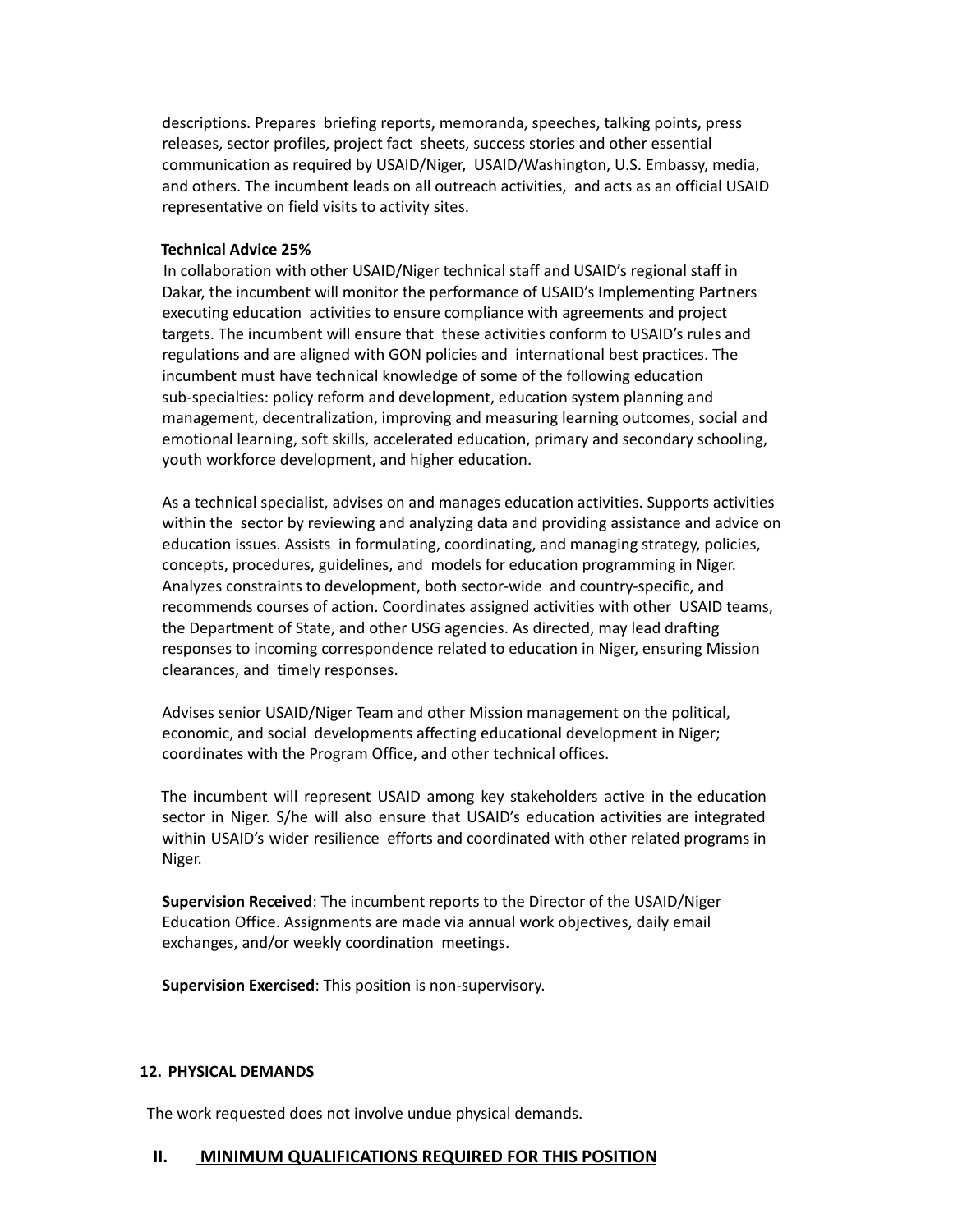descriptions. Prepares briefing reports, memoranda, speeches, talking points, press releases, sector profiles, project fact sheets, success stories and other essential communication as required by USAID/Niger, USAID/Washington, U.S. Embassy, media, and others. The incumbent leads on all outreach activities, and acts as an official USAID representative on field visits to activity sites.

#### **Technical Advice 25%**

In collaboration with other USAID/Niger technical staff and USAID's regional staff in Dakar, the incumbent will monitor the performance of USAID's Implementing Partners executing education activities to ensure compliance with agreements and project targets. The incumbent will ensure that these activities conform to USAID's rules and regulations and are aligned with GON policies and international best practices. The incumbent must have technical knowledge of some of the following education sub-specialties: policy reform and development, education system planning and management, decentralization, improving and measuring learning outcomes, social and emotional learning, soft skills, accelerated education, primary and secondary schooling, youth workforce development, and higher education.

As a technical specialist, advises on and manages education activities. Supports activities within the sector by reviewing and analyzing data and providing assistance and advice on education issues. Assists in formulating, coordinating, and managing strategy, policies, concepts, procedures, guidelines, and models for education programming in Niger. Analyzes constraints to development, both sector-wide and country-specific, and recommends courses of action. Coordinates assigned activities with other USAID teams, the Department of State, and other USG agencies. As directed, may lead drafting responses to incoming correspondence related to education in Niger, ensuring Mission clearances, and timely responses.

Advises senior USAID/Niger Team and other Mission management on the political, economic, and social developments affecting educational development in Niger; coordinates with the Program Office, and other technical offices.

The incumbent will represent USAID among key stakeholders active in the education sector in Niger. S/he will also ensure that USAID's education activities are integrated within USAID's wider resilience efforts and coordinated with other related programs in Niger.

**Supervision Received**: The incumbent reports to the Director of the USAID/Niger Education Office. Assignments are made via annual work objectives, daily email exchanges, and/or weekly coordination meetings.

**Supervision Exercised**: This position is non-supervisory.

#### **12. PHYSICAL DEMANDS**

The work requested does not involve undue physical demands.

### **II. MINIMUM QUALIFICATIONS REQUIRED FOR THIS POSITION**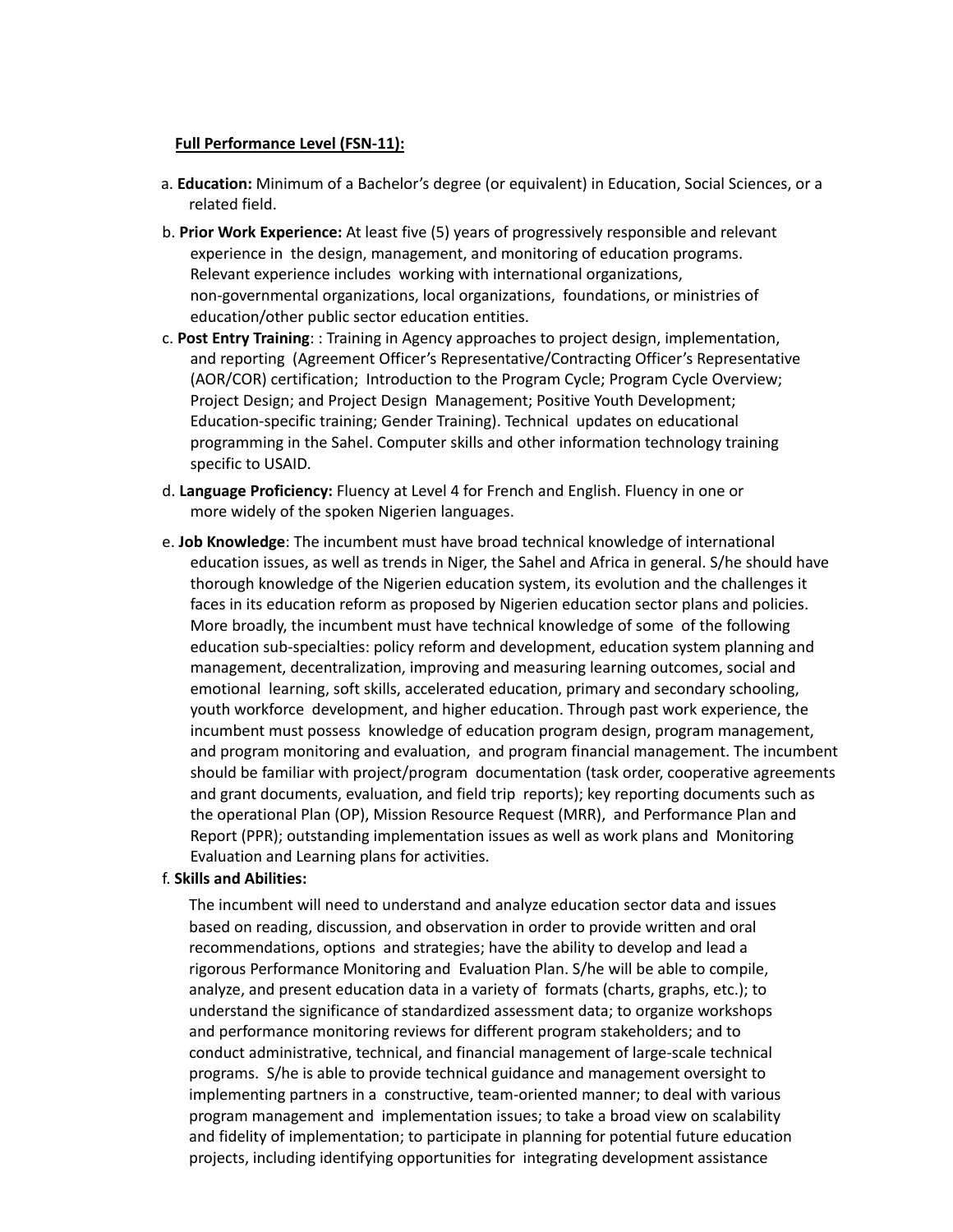#### **Full Performance Level (FSN-11):**

- a. **Education:** Minimum of a Bachelor's degree (or equivalent) in Education, Social Sciences, or a related field.
- b. **Prior Work Experience:** At least five (5) years of progressively responsible and relevant experience in the design, management, and monitoring of education programs. Relevant experience includes working with international organizations, non-governmental organizations, local organizations, foundations, or ministries of education/other public sector education entities.
- c. **Post Entry Training**: : Training in Agency approaches to project design, implementation, and reporting (Agreement Officer's Representative/Contracting Officer's Representative (AOR/COR) certification; Introduction to the Program Cycle; Program Cycle Overview; Project Design; and Project Design Management; Positive Youth Development; Education-specific training; Gender Training). Technical updates on educational programming in the Sahel. Computer skills and other information technology training specific to USAID.
- d. **Language Proficiency:** Fluency at Level 4 for French and English. Fluency in one or more widely of the spoken Nigerien languages.
- e. **Job Knowledge**: The incumbent must have broad technical knowledge of international education issues, as well as trends in Niger, the Sahel and Africa in general. S/he should have thorough knowledge of the Nigerien education system, its evolution and the challenges it faces in its education reform as proposed by Nigerien education sector plans and policies. More broadly, the incumbent must have technical knowledge of some of the following education sub-specialties: policy reform and development, education system planning and management, decentralization, improving and measuring learning outcomes, social and emotional learning, soft skills, accelerated education, primary and secondary schooling, youth workforce development, and higher education. Through past work experience, the incumbent must possess knowledge of education program design, program management, and program monitoring and evaluation, and program financial management. The incumbent should be familiar with project/program documentation (task order, cooperative agreements and grant documents, evaluation, and field trip reports); key reporting documents such as the operational Plan (OP), Mission Resource Request (MRR), and Performance Plan and Report (PPR); outstanding implementation issues as well as work plans and Monitoring Evaluation and Learning plans for activities.

### f. **Skills and Abilities:**

The incumbent will need to understand and analyze education sector data and issues based on reading, discussion, and observation in order to provide written and oral recommendations, options and strategies; have the ability to develop and lead a rigorous Performance Monitoring and Evaluation Plan. S/he will be able to compile, analyze, and present education data in a variety of formats (charts, graphs, etc.); to understand the significance of standardized assessment data; to organize workshops and performance monitoring reviews for different program stakeholders; and to conduct administrative, technical, and financial management of large-scale technical programs. S/he is able to provide technical guidance and management oversight to implementing partners in a constructive, team-oriented manner; to deal with various program management and implementation issues; to take a broad view on scalability and fidelity of implementation; to participate in planning for potential future education projects, including identifying opportunities for integrating development assistance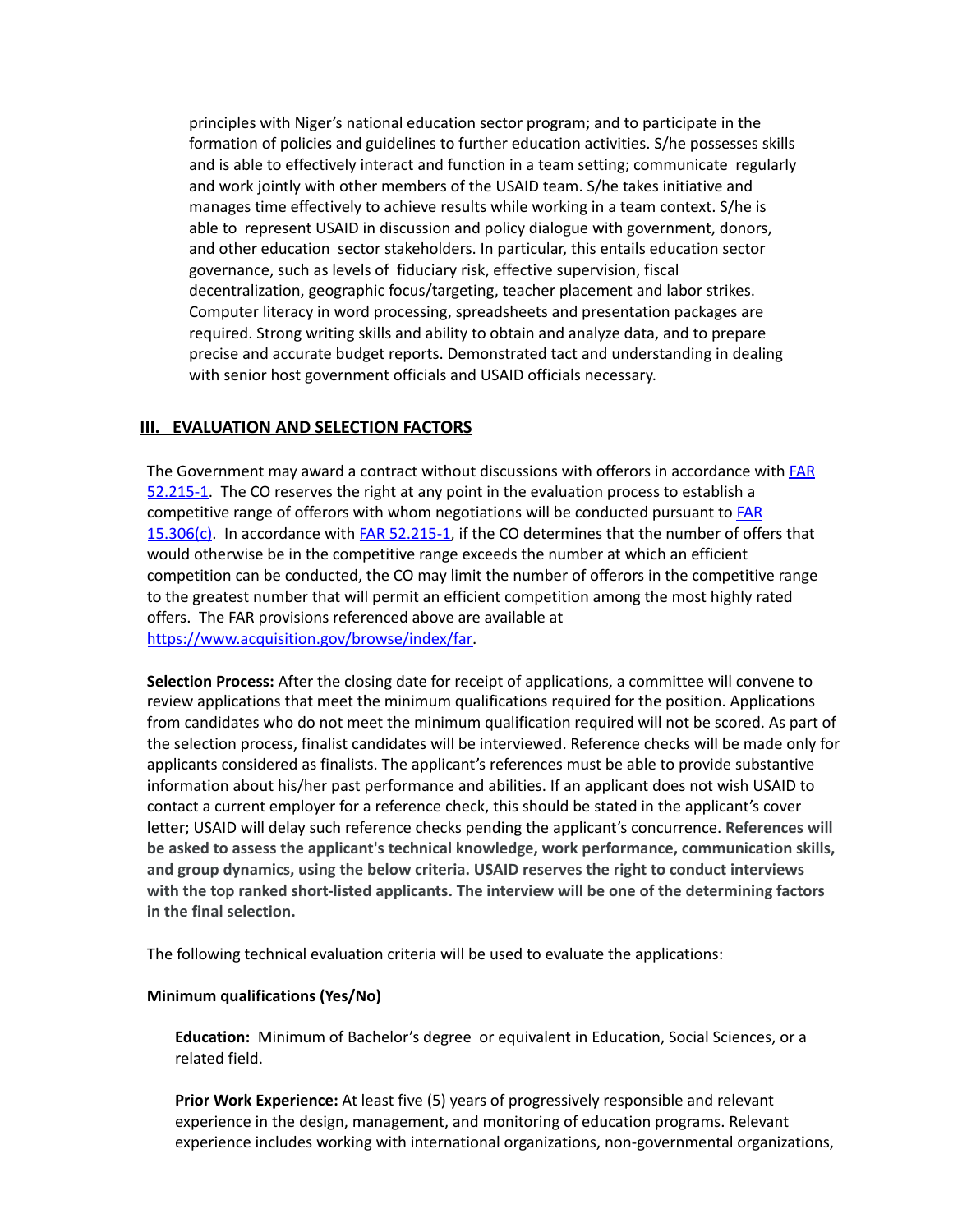principles with Niger's national education sector program; and to participate in the formation of policies and guidelines to further education activities. S/he possesses skills and is able to effectively interact and function in a team setting; communicate regularly and work jointly with other members of the USAID team. S/he takes initiative and manages time effectively to achieve results while working in a team context. S/he is able to represent USAID in discussion and policy dialogue with government, donors, and other education sector stakeholders. In particular, this entails education sector governance, such as levels of fiduciary risk, effective supervision, fiscal decentralization, geographic focus/targeting, teacher placement and labor strikes. Computer literacy in word processing, spreadsheets and presentation packages are required. Strong writing skills and ability to obtain and analyze data, and to prepare precise and accurate budget reports. Demonstrated tact and understanding in dealing with senior host government officials and USAID officials necessary.

## **III. EVALUATION AND SELECTION FACTORS**

The Government may award a contract without discussions with offerors in accordance with [FAR](https://www.acquisition.gov/browse/index/far) [52.215-1](https://www.acquisition.gov/browse/index/far). The CO reserves the right at any point in the evaluation process to establish a competitive range of offerors with whom negotiations will be conducted pursuant to **[FAR](https://www.acquisition.gov/browse/index/far)** [15.306\(c\)](https://www.acquisition.gov/browse/index/far). In accordance with FAR [52.215-1,](https://www.acquisition.gov/browse/index/far) if the CO determines that the number of offers that would otherwise be in the competitive range exceeds the number at which an efficient competition can be conducted, the CO may limit the number of offerors in the competitive range to the greatest number that will permit an efficient competition among the most highly rated offers. The FAR provisions referenced above are available at [https://www.acquisition.gov/browse/index/far.](https://www.acquisition.gov/browse/index/far)

**Selection Process:** After the closing date for receipt of applications, a committee will convene to review applications that meet the minimum qualifications required for the position. Applications from candidates who do not meet the minimum qualification required will not be scored. As part of the selection process, finalist candidates will be interviewed. Reference checks will be made only for applicants considered as finalists. The applicant's references must be able to provide substantive information about his/her past performance and abilities. If an applicant does not wish USAID to contact a current employer for a reference check, this should be stated in the applicant's cover letter; USAID will delay such reference checks pending the applicant's concurrence. **References will be asked to assess the applicant's technical knowledge, work performance, communication skills, and group dynamics, using the below criteria. USAID reserves the right to conduct interviews with the top ranked short-listed applicants. The interview will be one of the determining factors in the final selection.**

The following technical evaluation criteria will be used to evaluate the applications:

#### **Minimum qualifications (Yes/No)**

**Education:** Minimum of Bachelor's degree or equivalent in Education, Social Sciences, or a related field.

**Prior Work Experience:** At least five (5) years of progressively responsible and relevant experience in the design, management, and monitoring of education programs. Relevant experience includes working with international organizations, non-governmental organizations,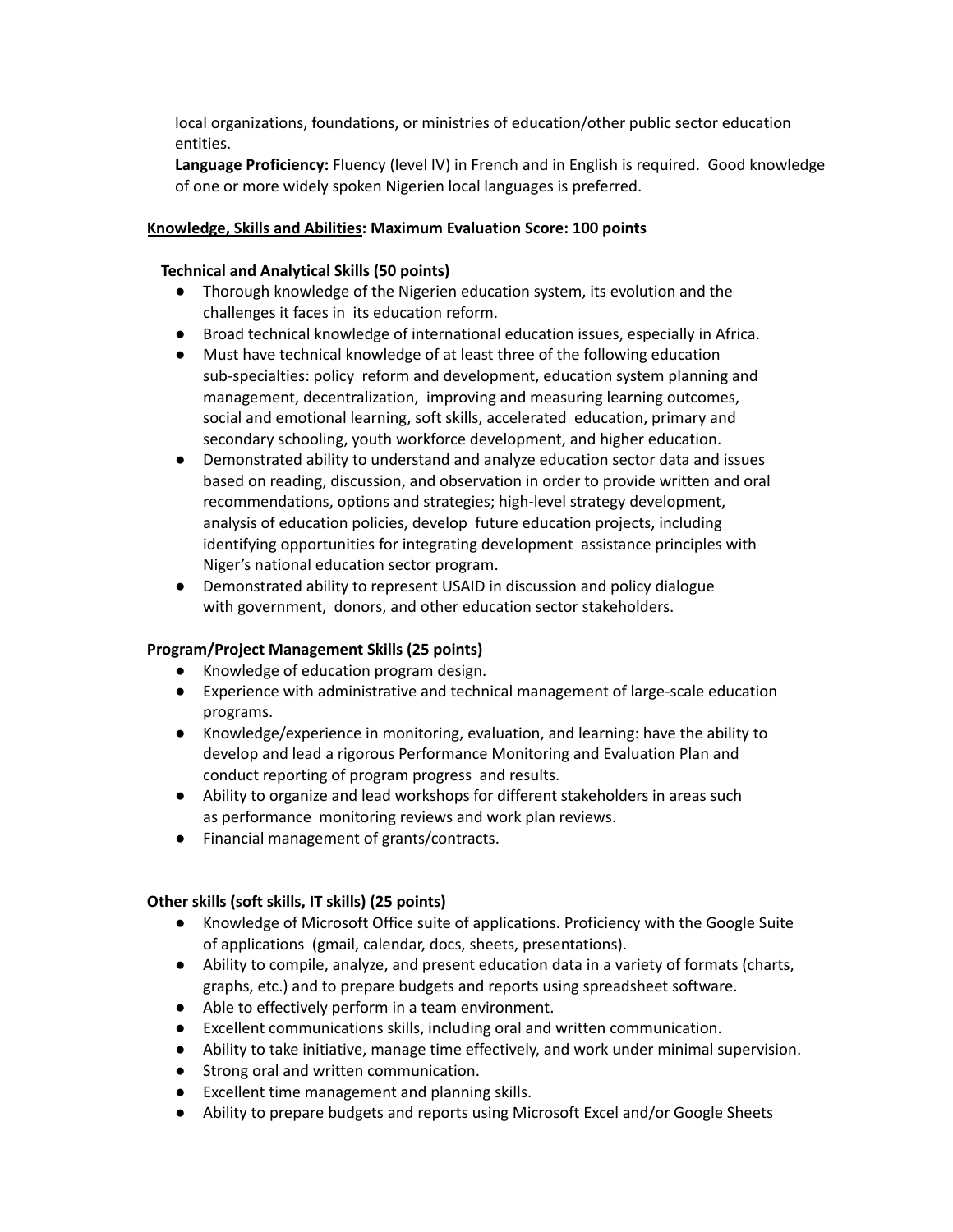local organizations, foundations, or ministries of education/other public sector education entities.

**Language Proficiency:** Fluency (level IV) in French and in English is required. Good knowledge of one or more widely spoken Nigerien local languages is preferred.

## **Knowledge, Skills and Abilities: Maximum Evaluation Score: 100 points**

### **Technical and Analytical Skills (50 points)**

- Thorough knowledge of the Nigerien education system, its evolution and the challenges it faces in its education reform.
- Broad technical knowledge of international education issues, especially in Africa.
- Must have technical knowledge of at least three of the following education sub-specialties: policy reform and development, education system planning and management, decentralization, improving and measuring learning outcomes, social and emotional learning, soft skills, accelerated education, primary and secondary schooling, youth workforce development, and higher education.
- Demonstrated ability to understand and analyze education sector data and issues based on reading, discussion, and observation in order to provide written and oral recommendations, options and strategies; high-level strategy development, analysis of education policies, develop future education projects, including identifying opportunities for integrating development assistance principles with Niger's national education sector program.
- Demonstrated ability to represent USAID in discussion and policy dialogue with government, donors, and other education sector stakeholders.

## **Program/Project Management Skills (25 points)**

- Knowledge of education program design.
- Experience with administrative and technical management of large-scale education programs.
- Knowledge/experience in monitoring, evaluation, and learning: have the ability to develop and lead a rigorous Performance Monitoring and Evaluation Plan and conduct reporting of program progress and results.
- Ability to organize and lead workshops for different stakeholders in areas such as performance monitoring reviews and work plan reviews.
- Financial management of grants/contracts.

## **Other skills (soft skills, IT skills) (25 points)**

- Knowledge of Microsoft Office suite of applications. Proficiency with the Google Suite of applications (gmail, calendar, docs, sheets, presentations).
- Ability to compile, analyze, and present education data in a variety of formats (charts, graphs, etc.) and to prepare budgets and reports using spreadsheet software.
- Able to effectively perform in a team environment.
- Excellent communications skills, including oral and written communication.
- Ability to take initiative, manage time effectively, and work under minimal supervision.
- Strong oral and written communication.
- Excellent time management and planning skills.
- Ability to prepare budgets and reports using Microsoft Excel and/or Google Sheets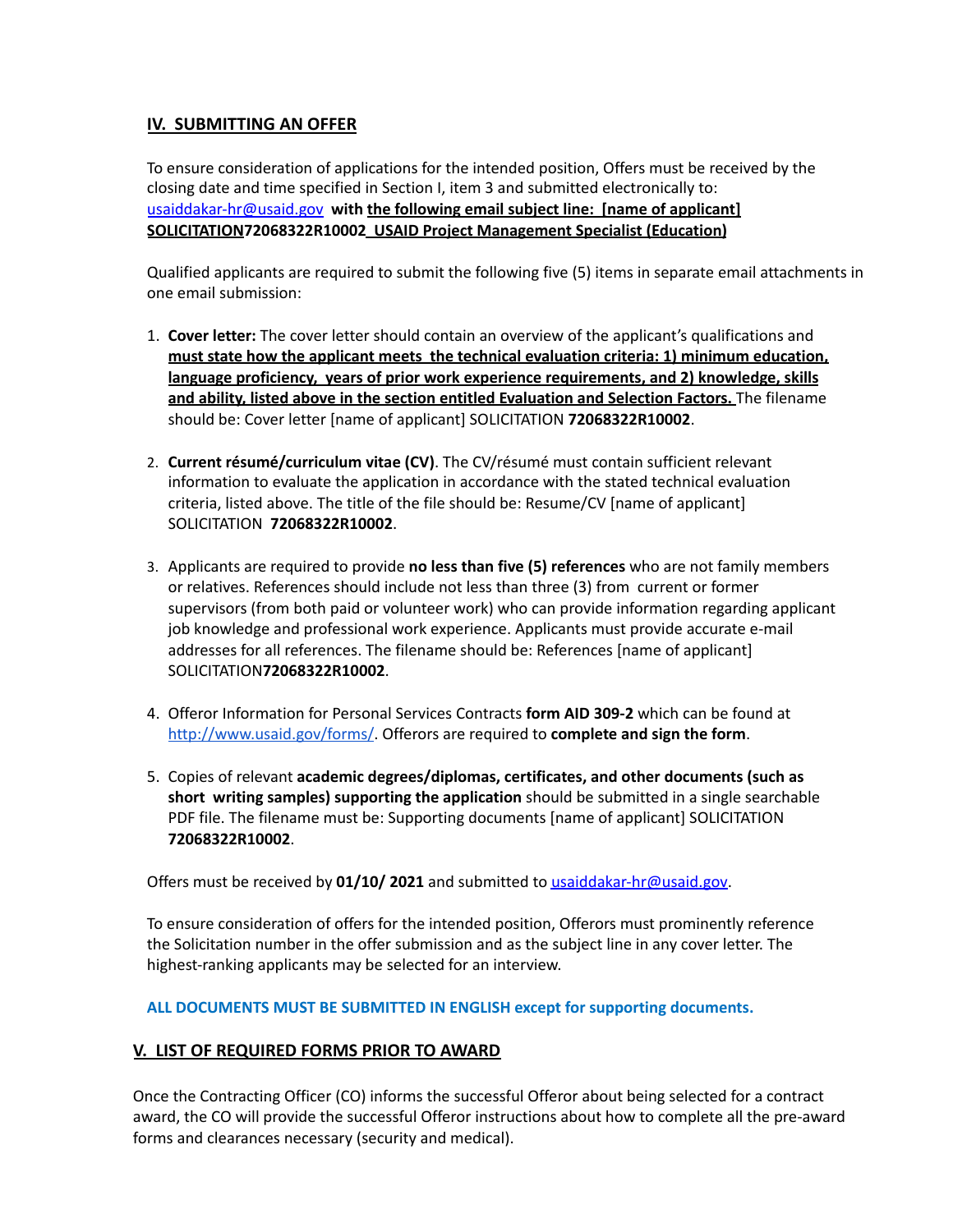# **IV. SUBMITTING AN OFFER**

To ensure consideration of applications for the intended position, Offers must be received by the closing date and time specified in Section I, item 3 and submitted electronically to: [usaiddakar-hr@usaid.gov](mailto:usaiddakar-hr@usaid.gov) **with the following email subject line: [name of applicant] SOLICITATION72068322R10002 USAID Project Management Specialist (Education)**

Qualified applicants are required to submit the following five (5) items in separate email attachments in one email submission:

- 1. **Cover letter:** The cover letter should contain an overview of the applicant's qualifications and **must state how the applicant meets the technical evaluation criteria: 1) minimum education, language proficiency, years of prior work experience requirements, and 2) knowledge, skills and ability, listed above in the section entitled Evaluation and Selection Factors.** The filename should be: Cover letter [name of applicant] SOLICITATION **72068322R10002**.
- 2. **Current résumé/curriculum vitae (CV)**. The CV/résumé must contain sufficient relevant information to evaluate the application in accordance with the stated technical evaluation criteria, listed above. The title of the file should be: Resume/CV [name of applicant] SOLICITATION **72068322R10002**.
- 3. Applicants are required to provide **no less than five (5) references** who are not family members or relatives. References should include not less than three (3) from current or former supervisors (from both paid or volunteer work) who can provide information regarding applicant job knowledge and professional work experience. Applicants must provide accurate e-mail addresses for all references. The filename should be: References [name of applicant] SOLICITATION**72068322R10002**.
- 4. Offeror Information for Personal Services Contracts **form AID 309-2** which can be found at <http://www.usaid.gov/forms/>. Offerors are required to **complete and sign the form**.
- 5. Copies of relevant **academic degrees/diplomas, certificates, and other documents (such as short writing samples) supporting the application** should be submitted in a single searchable PDF file. The filename must be: Supporting documents [name of applicant] SOLICITATION **72068322R10002**.

Offers must be received by **01/10/ 2021** and submitted to [usaiddakar-hr@usaid.gov.](mailto:usaiddakar-hr@usaid.gov)

To ensure consideration of offers for the intended position, Offerors must prominently reference the Solicitation number in the offer submission and as the subject line in any cover letter. The highest-ranking applicants may be selected for an interview.

**ALL DOCUMENTS MUST BE SUBMITTED IN ENGLISH except for supporting documents.**

## **V. LIST OF REQUIRED FORMS PRIOR TO AWARD**

Once the Contracting Officer (CO) informs the successful Offeror about being selected for a contract award, the CO will provide the successful Offeror instructions about how to complete all the pre-award forms and clearances necessary (security and medical).